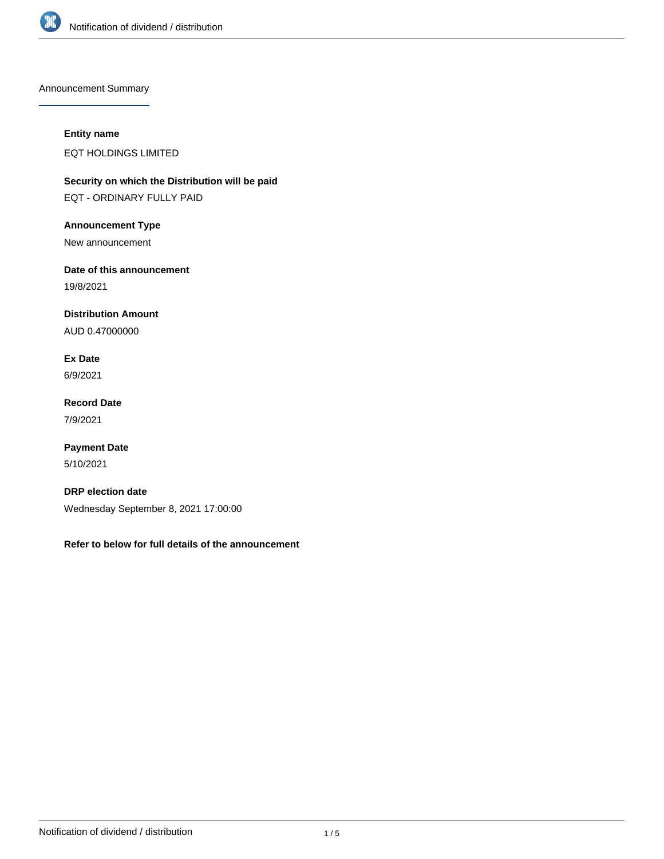

Announcement Summary

## **Entity name**

EQT HOLDINGS LIMITED

**Security on which the Distribution will be paid** EQT - ORDINARY FULLY PAID

**Announcement Type**

New announcement

**Date of this announcement**

19/8/2021

**Distribution Amount**

AUD 0.47000000

**Ex Date** 6/9/2021

**Record Date** 7/9/2021

**Payment Date** 5/10/2021

**DRP election date** Wednesday September 8, 2021 17:00:00

**Refer to below for full details of the announcement**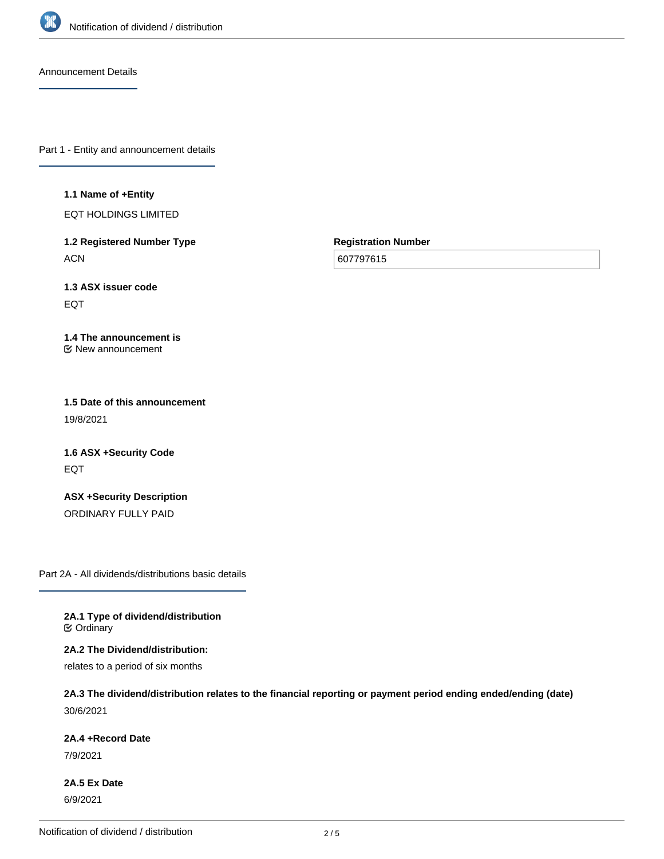

Announcement Details

Part 1 - Entity and announcement details

#### **1.1 Name of +Entity**

EQT HOLDINGS LIMITED

**1.2 Registered Number Type ACN** 

**Registration Number**

607797615

**1.3 ASX issuer code** EQT

#### **1.4 The announcement is** New announcement

**1.5 Date of this announcement** 19/8/2021

**1.6 ASX +Security Code** EQT

**ASX +Security Description** ORDINARY FULLY PAID

Part 2A - All dividends/distributions basic details

**2A.1 Type of dividend/distribution C** Ordinary

**2A.2 The Dividend/distribution:**

relates to a period of six months

**2A.3 The dividend/distribution relates to the financial reporting or payment period ending ended/ending (date)** 30/6/2021

**2A.4 +Record Date**

7/9/2021

**2A.5 Ex Date** 6/9/2021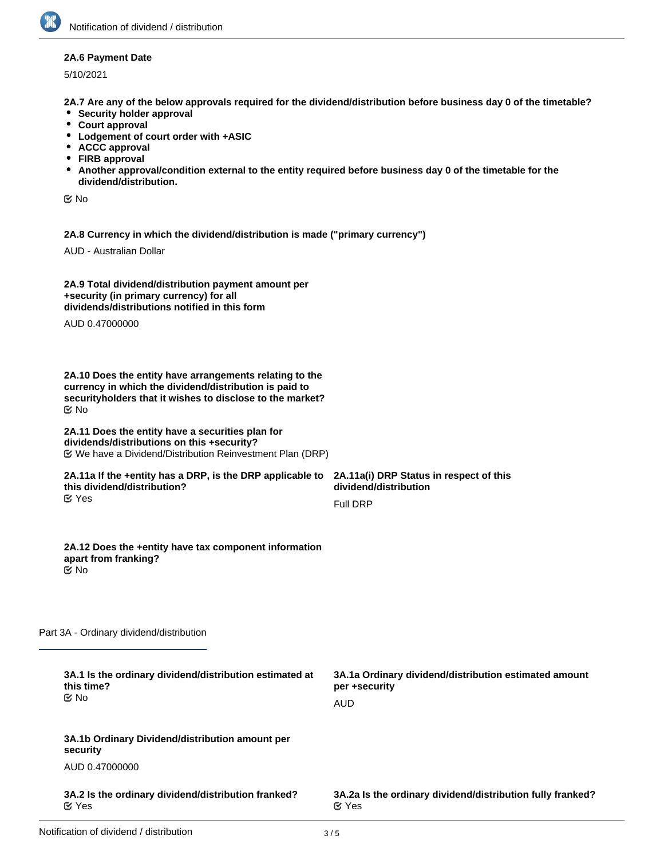### **2A.6 Payment Date**

5/10/2021

**2A.7 Are any of the below approvals required for the dividend/distribution before business day 0 of the timetable?**

- **•** Security holder approval
- **Court approval**
- **Lodgement of court order with +ASIC**
- **ACCC approval**
- **FIRB approval**
- **Another approval/condition external to the entity required before business day 0 of the timetable for the dividend/distribution.**

No

**2A.8 Currency in which the dividend/distribution is made ("primary currency")**

AUD - Australian Dollar

| 2A.9 Total dividend/distribution payment amount per |  |
|-----------------------------------------------------|--|
| +security (in primary currency) for all             |  |
| dividends/distributions notified in this form       |  |

AUD 0.47000000

**2A.10 Does the entity have arrangements relating to the currency in which the dividend/distribution is paid to securityholders that it wishes to disclose to the market?** No

#### **2A.11 Does the entity have a securities plan for dividends/distributions on this +security?** We have a Dividend/Distribution Reinvestment Plan (DRP)

#### **2A.11a If the +entity has a DRP, is the DRP applicable to this dividend/distribution?** Yes

**2A.11a(i) DRP Status in respect of this dividend/distribution** Full DRP

**2A.12 Does the +entity have tax component information apart from franking?** No

Part 3A - Ordinary dividend/distribution

| 3A.1 Is the ordinary dividend/distribution estimated at<br>this time?<br><b>≝</b> No | 3A.1a Ordinary dividend/distribution estimated amount<br>per +security<br>AUD |
|--------------------------------------------------------------------------------------|-------------------------------------------------------------------------------|
| 3A.1b Ordinary Dividend/distribution amount per<br>security                          |                                                                               |
| AUD 0.47000000                                                                       |                                                                               |
| 3A.2 Is the ordinary dividend/distribution franked?<br>ビ Yes                         | 3A.2a Is the ordinary dividend/distribution fully franked?<br>$\alpha$ Yes    |
|                                                                                      |                                                                               |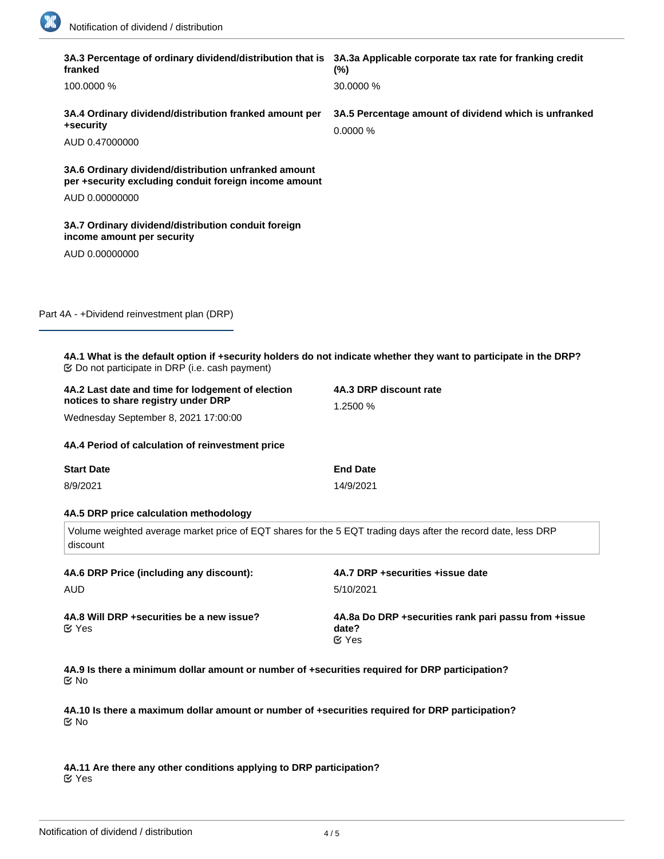18

| franked                                                                                                                   | 3A.3 Percentage of ordinary dividend/distribution that is 3A.3a Applicable corporate tax rate for franking credit<br>$(\%)$ |  |
|---------------------------------------------------------------------------------------------------------------------------|-----------------------------------------------------------------------------------------------------------------------------|--|
| 100.0000 %                                                                                                                | 30.0000 %                                                                                                                   |  |
| 3A.4 Ordinary dividend/distribution franked amount per<br>+security                                                       | 3A.5 Percentage amount of dividend which is unfranked<br>0.0000%                                                            |  |
| AUD 0.47000000                                                                                                            |                                                                                                                             |  |
| 3A.6 Ordinary dividend/distribution unfranked amount<br>per +security excluding conduit foreign income amount             |                                                                                                                             |  |
| AUD 0.00000000                                                                                                            |                                                                                                                             |  |
| 3A.7 Ordinary dividend/distribution conduit foreign<br>income amount per security                                         |                                                                                                                             |  |
| AUD 0.00000000                                                                                                            |                                                                                                                             |  |
|                                                                                                                           |                                                                                                                             |  |
| Part 4A - +Dividend reinvestment plan (DRP)                                                                               |                                                                                                                             |  |
|                                                                                                                           |                                                                                                                             |  |
|                                                                                                                           | 4A.1 What is the default option if +security holders do not indicate whether they want to participate in the DRP?           |  |
| 4A.2 Last date and time for lodgement of election<br>notices to share registry under DRP                                  | 4A.3 DRP discount rate<br>1.2500 %                                                                                          |  |
| Wednesday September 8, 2021 17:00:00                                                                                      |                                                                                                                             |  |
| 4A.4 Period of calculation of reinvestment price                                                                          |                                                                                                                             |  |
| <b>Start Date</b>                                                                                                         | <b>End Date</b>                                                                                                             |  |
| 8/9/2021                                                                                                                  | 14/9/2021                                                                                                                   |  |
| 4A.5 DRP price calculation methodology                                                                                    |                                                                                                                             |  |
| Volume weighted average market price of EQT shares for the 5 EQT trading days after the record date, less DRP<br>discount |                                                                                                                             |  |
| 4A.6 DRP Price (including any discount):                                                                                  | 4A.7 DRP +securities +issue date                                                                                            |  |
| AUD                                                                                                                       | 5/10/2021                                                                                                                   |  |
| 4A.8 Will DRP + securities be a new issue?<br>$\mathfrak{C}$ Yes                                                          | 4A.8a Do DRP +securities rank pari passu from +issue<br>date?<br>$\mathfrak{C}$ Yes                                         |  |
| 4A.9 Is there a minimum dollar amount or number of +securities required for DRP participation?<br>ত⁄ No                   |                                                                                                                             |  |
| 4A.10 Is there a maximum dollar amount or number of +securities required for DRP participation?<br>$\mathfrak{C}$ No      |                                                                                                                             |  |

**4A.11 Are there any other conditions applying to DRP participation?** Yes